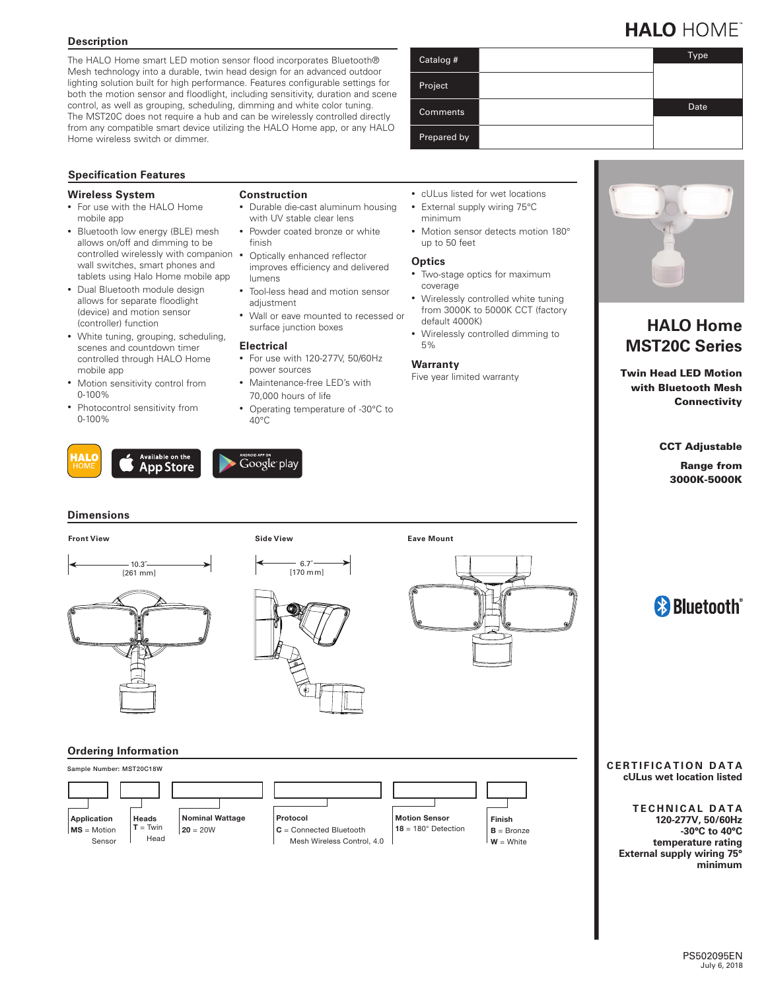# **Description**

The HALO Home smart LED motion sensor flood incorporates Bluetooth® Mesh technology into a durable, twin head design for an advanced outdoor lighting solution built for high performance. Features configurable settings for both the motion sensor and floodlight, including sensitivity, duration and scene control, as well as grouping, scheduling, dimming and white color tuning. The MST20C does not require a hub and can be wirelessly controlled directly from any compatible smart device utilizing the HALO Home app, or any HALO Home wireless switch or dimmer.

**Construction**

finish

lumens

**Electrical**

power sources

adjustment

• Durable die-cast aluminum housing with UV stable clear lens • Powder coated bronze or white

• Tool-less head and motion sensor

• Wall or eave mounted to recessed or

Optically enhanced reflector improves efficiency and delivered

surface junction boxes

• For use with 120-277V, 50/60Hz

• Maintenance-free LED's with 70,000 hours of life

• Operating temperature of -30°C to

### **Specification Features**

#### **Wireless System**

- For use with the HALO Home mobile app
- Bluetooth low energy (BLE) mesh allows on/off and dimming to be controlled wirelessly with companion • wall switches, smart phones and tablets using Halo Home mobile app
- Dual Bluetooth module design allows for separate floodlight (device) and motion sensor (controller) function
- White tuning, grouping, scheduling, scenes and countdown timer controlled through HALO Home mobile app
- Motion sensitivity control from 0-100%
- Photocontrol sensitivity from 0-100%





40°C

#### **Dimensions**

# **Front View Side View**







### **Ordering Information**



# Catalog # Type Project **Comments** Date Date Prepared by

- cULus listed for wet locations • External supply wiring 75°C
- minimum • Motion sensor detects motion 180°
- up to 50 feet

#### **Optics**

- Two-stage optics for maximum coverage
- Wirelessly controlled white tuning from 3000K to 5000K CCT (factory default 4000K)
- Wirelessly controlled dimming to 5%

#### **Warranty**

**Eave Mount**

Five year limited warranty



# **HALO Home MST20C Series**

Twin Head LED Motion with Bluetooth Mesh **Connectivity** 

CCT Adjustable

Range from 3000K-5000K

# <sup>8</sup> Bluetooth<sup>®</sup>

#### **CERTIFICATION DATA cULus wet location listed**

**TECHNICAL DATA 120-277V, 50/60Hz -30°C to 40°C temperature rating External supply wiring 75° minimum**

# **HALO HOME**